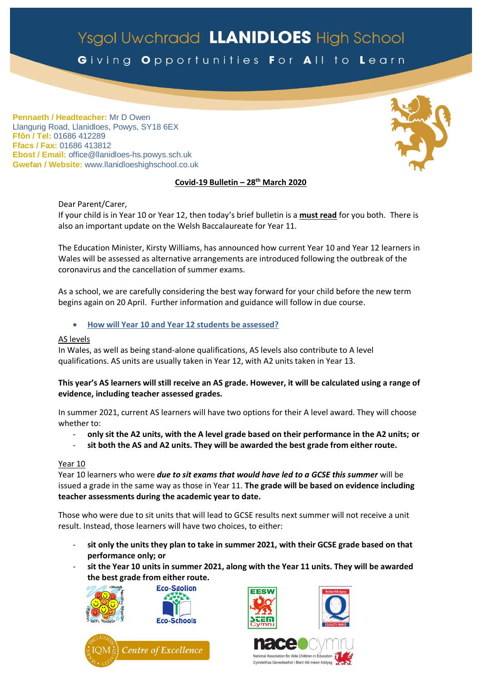# Ysgol Uwchradd LLANIDLOES High School

Giving Opportunities For All to Learn

**Pennaeth / Headteacher:** Mr D Owen Llangurig Road, Llanidloes, Powys, SY18 6EX **Ffôn / Tel:** 01686 412289 **Ffacs / Fax:** 01686 413812 **Ebost / Email:** office@llanidloes-hs.powys.sch.uk **Gwefan / Website:** www.llanidloeshighschool.co.uk

# **Covid-19 Bulletin – 28 th March 2020**

Dear Parent/Carer, If your child is in Year 10 or Year 12, then today's brief bulletin is a **must read** for you both. There is also an important update on the Welsh Baccalaureate for Year 11.

The Education Minister, Kirsty Williams, has announced how current Year 10 and Year 12 learners in Wales will be assessed as alternative arrangements are introduced following the outbreak of the coronavirus and the cancellation of summer exams.

As a school, we are carefully considering the best way forward for your child before the new term begins again on 20 April. Further information and guidance will follow in due course.

**How will Year 10 and Year 12 students be assessed?** 

#### AS levels

In Wales, as well as being stand-alone qualifications, AS levels also contribute to A level qualifications. AS units are usually taken in Year 12, with A2 units taken in Year 13.

## **This year's AS learners will still receive an AS grade. However, it will be calculated using a range of evidence, including teacher assessed grades.**

In summer 2021, current AS learners will have two options for their A level award. They will choose whether to:

- **only sit the A2 units, with the A level grade based on their performance in the A2 units; or**
- **sit both the AS and A2 units. They will be awarded the best grade from either route.**

#### Year 10

Year 10 learners who were *due to sit exams that would have led to a GCSE this summer* will be issued a grade in the same way as those in Year 11. **The grade will be based on evidence including teacher assessments during the academic year to date.**

Those who were due to sit units that will lead to GCSE results next summer will not receive a unit result. Instead, those learners will have two choices, to either:

- sit only the units they plan to take in summer 2021, with their GCSE grade based on that **performance only; or**
- **sit the Year 10 units in summer 2021, along with the Year 11 units. They will be awarded the best grade from either route.**











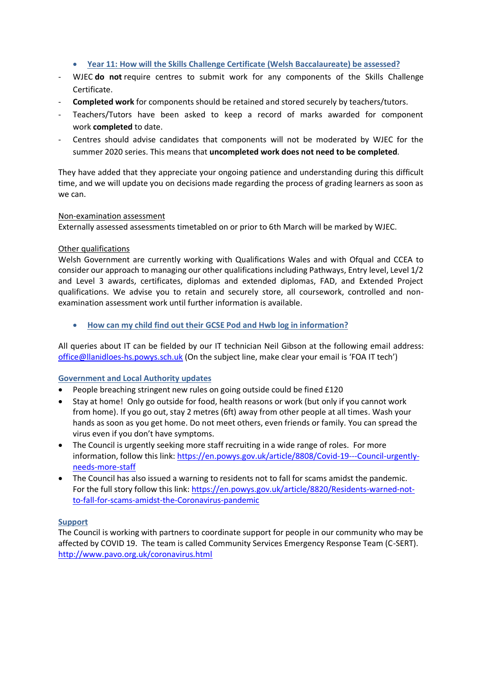#### **Year 11: How will the Skills Challenge Certificate (Welsh Baccalaureate) be assessed?**

- WJEC **do not** require centres to submit work for any components of the Skills Challenge Certificate.
- **Completed work** for components should be retained and stored securely by teachers/tutors.
- Teachers/Tutors have been asked to keep a record of marks awarded for component work **completed** to date.
- Centres should advise candidates that components will not be moderated by WJEC for the summer 2020 series. This means that **uncompleted work does not need to be completed**.

They have added that they appreciate your ongoing patience and understanding during this difficult time, and we will update you on decisions made regarding the process of grading learners as soon as we can.

#### Non-examination assessment

Externally assessed assessments timetabled on or prior to 6th March will be marked by WJEC.

## Other qualifications

Welsh Government are currently working with Qualifications Wales and with Ofqual and CCEA to consider our approach to managing our other qualifications including Pathways, Entry level, Level 1/2 and Level 3 awards, certificates, diplomas and extended diplomas, FAD, and Extended Project qualifications. We advise you to retain and securely store, all coursework, controlled and nonexamination assessment work until further information is available.

**How can my child find out their GCSE Pod and Hwb log in information?**

All queries about IT can be fielded by our IT technician Neil Gibson at the following email address: [office@llanidloes-hs.powys.sch.uk](mailto:office@llanidloes-hs.powys.sch.uk) (On the subject line, make clear your email is 'FOA IT tech')

# **Government and Local Authority updates**

- People breaching stringent new rules on going outside could be fined £120
- Stay at home! Only go outside for food, health reasons or work (but only if you cannot work from home). If you go out, stay 2 metres (6ft) away from other people at all times. Wash your hands as soon as you get home. Do not meet others, even friends or family. You can spread the virus even if you don't have symptoms.
- The Council is urgently seeking more staff recruiting in a wide range of roles. For more information, follow this link: [https://en.powys.gov.uk/article/8808/Covid-19---Council-urgently](https://en.powys.gov.uk/article/8808/Covid-19---Council-urgently-needs-more-staff)[needs-more-staff](https://en.powys.gov.uk/article/8808/Covid-19---Council-urgently-needs-more-staff)
- The Council has also issued a warning to residents not to fall for scams amidst the pandemic. For the full story follow this link: [https://en.powys.gov.uk/article/8820/Residents-warned-not](https://en.powys.gov.uk/article/8820/Residents-warned-not-to-fall-for-scams-amidst-the-Coronavirus-pandemic)[to-fall-for-scams-amidst-the-Coronavirus-pandemic](https://en.powys.gov.uk/article/8820/Residents-warned-not-to-fall-for-scams-amidst-the-Coronavirus-pandemic)

#### **Support**

The Council is working with partners to coordinate support for people in our community who may be affected by COVID 19. The team is called Community Services Emergency Response Team (C-SERT). <http://www.pavo.org.uk/coronavirus.html>